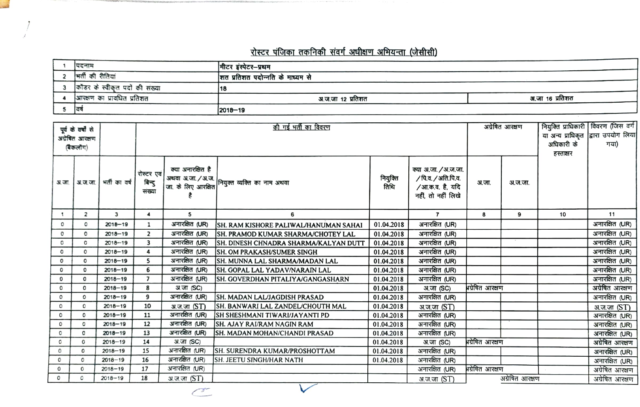## रोस्टर पंजिका तकनिकी संवर्ग अधीक्षण अभियन्ता (जेसीसी)

| पिदनाम                         | मीटर इंस्पेटर-प्रथम              |                 |
|--------------------------------|----------------------------------|-----------------|
| भर्ती की रीतियां               | शत प्रतिशत पदोन्नति के माध्यम से |                 |
| कॉडर के स्वीकृत पदों की संख्या | 18                               |                 |
| आरक्षण का प्रावधित प्रतिशत     | अ.ज.जा १२ प्रतिशत                | अ.जा 16 प्रतिशत |
| ਟਰ                             | $ 2018 - 19$                     |                 |

| पूर्व के वर्षों से<br>अग्रेबित आरक्षण |                |               |                               | की गई भर्ती का विवरण |                                              |                  |                                                                                      |                 | अग्रेषित आरक्षण |                   | नियुक्ति प्राधिकारी   विवरण (जिस वर्ग |
|---------------------------------------|----------------|---------------|-------------------------------|----------------------|----------------------------------------------|------------------|--------------------------------------------------------------------------------------|-----------------|-----------------|-------------------|---------------------------------------|
|                                       |                |               |                               |                      |                                              |                  |                                                                                      |                 |                 | या अन्य प्राधिकृत | द्वारा उपयोग लिया                     |
|                                       | (ৰকলাঁশ)       |               |                               |                      |                                              |                  |                                                                                      |                 |                 | अधिकारी के        | गया)                                  |
|                                       |                |               |                               |                      |                                              |                  |                                                                                      |                 |                 | हस्ताक्षर         |                                       |
|                                       | अ.स.   अ.स.ज.  | শৰ্নী কা বৰ্ষ | रोस्टर एवं<br>बिन्दु<br>तख्या | क्या अनारक्षित है    | अथवा अ.जा. / अ.ज.  <br>  जा. के लिए आरक्षित  | नियुक्ति<br>तिथि | क्या अ.जा. / अ.ज.जा.<br>/ पि.व. / अति.पि.व.<br>/आ.क.व. है, यदि<br>नहीं, तो नहीं लिखे | अ.जा.           | अ.ज.जा.         |                   |                                       |
| -1                                    | $\overline{2}$ | $\mathbf{3}$  | $\blacktriangleleft$          | 5                    | 6                                            |                  | $\overline{7}$                                                                       | 8               | 9               | 10                | 11                                    |
| $\circ$                               | ٥              | $2018 - 19$   | 1                             | अनारक्षित (UR)       | SH. RAM KISHORE PALIWAL/HANUMAN SAHAI        | 01.04.2018       | अनारक्षित (UR)                                                                       |                 |                 |                   | अनारक्षित (UR)                        |
| 0                                     | 0              | $2018 - 19$   | $\overline{\mathbf{z}}$       | अनारसित (UR)         | SH. PRAMOD KUMAR SHARMA/CHOTEY LAL           | 01.04.2018       | अनारक्षित (UR)                                                                       |                 |                 |                   | अनारक्षित (UR)                        |
| 0                                     | 0              | $2018 - 19$   | 3                             | अनारक्षित (UR)       | <b>SH. DINESH CHNADRA SHARMA/KALYAN DUTT</b> | 01.04.2018       | अनारक्षित (UR)                                                                       |                 |                 |                   | अनारक्षित (UR)                        |
| O                                     | 0              | $2018 - 19$   | 4                             | अनारक्षित (UR)       | <b>SH. OM PRAKASH/SUMER SINGH</b>            | 01.04.2018       | अनारक्षित (UR)                                                                       |                 |                 |                   | अनारक्षित (UR)                        |
| $\circ$                               | $\circ$        | $2018 - 19$   | 5                             | अनारक्षित (UR)       | <b>SH. MUNNA LAL SHARMA/MADAN LAL</b>        | 01.04.2018       | अनारक्षित (UR)                                                                       |                 |                 |                   | अनारक्षित (UR)                        |
| $\circ$                               | 0              | $2018 - 19$   | 6                             | अनारक्षित (UR)       | <b>SH. GOPAL LAL YADAV/NARAIN LAL</b>        | 01.04.2018       | अनारक्षित (UR)                                                                       |                 |                 |                   | अनारक्षित (UR)                        |
| 0                                     | 0              | $2018 - 19$   | $\overline{7}$                | अनारक्षित (UR)       | <b>SH. GOVERDHAN PITALIYA/GANGASHARN</b>     | 01.04.2018       | अनारक्षित (UR)                                                                       |                 |                 |                   | अनारक्षित (UR)                        |
| $\circ$                               | 0              | $2018 - 19$   | 8                             | अ.जा (SC)            |                                              | 01.04.2018       | अ.जा (SC)                                                                            | भग्रेषित आरक्षण |                 |                   | अग्रेषित आरक्षण                       |
| $\circ$                               | 0              | $2018 - 19$   | 9                             | अनारसित (UR)         | SH. MADAN LAL/JAGDISH PRASAD                 | 01.04.2018       | अनारक्षित (UR)                                                                       |                 |                 |                   | अनारक्षित (UR)                        |
| ٥                                     | 0              | $2018 - 19$   | 10                            | अ.ज.जा (ST)          | SH. BANWARI LAL ZANDEL/CHOUTH MAL            | 01.04.2018       | अ.ज.जा (ST)                                                                          |                 |                 |                   | अ.ज.जा (ST)                           |
| ٥                                     | 0              | $2018 - 19$   | 11                            | अनारक्षित (UR)       | <b>SH SHESHMANI TIWARI/JAYANTI PD</b>        | 01.04.2018       | अनारक्षित (UR)                                                                       |                 |                 |                   | अनारक्षित (UR)                        |
| 0                                     | O              | $2018 - 19$   | 12                            | अनारक्षित (UR)       | <b>SH. AJAY RAI/RAM NAGIN RAM</b>            | 01.04.2018       | अनारक्षित (UR)                                                                       |                 |                 |                   | अनारक्षित (UR)                        |
| o                                     | o              | $2018 - 19$   | 13                            | अनारक्षित (UR)       | ISH. MADAN MOHAN/CHANDI PRASAD               | 01.04.2018       | अनारक्षित (UR)                                                                       |                 |                 |                   | अनारक्षित (UR)                        |
| 0                                     | 0              | $2018 - 19$   | 14                            | अ.जा (SC)            |                                              | 01.04.2018       | अ.जा (SC)                                                                            | भग्रेषित आरक्षण |                 |                   | अग्रेषित आरक्षण                       |
| ٥                                     | $\circ$        | $2018 - 19$   | 15                            | अनारक्षित (UR)       | SH. SURENDRA KUMAR/PROSHOTTAM                | 01.04.2018       | अनारक्षित (UR)                                                                       |                 |                 |                   | अनारक्षित (UR)                        |
| $\circ$                               | 0              | $2018 - 19$   | 16                            | अनारक्षित (UR)       | SH. JEETU SINGH/HAR NATH                     | 01.04.2018       | अनारक्षित (UR)                                                                       |                 |                 |                   | अनारक्षित (UR)                        |
| $^{\circ}$                            | 0              | $2018 - 19$   | 17                            | अनारक्षित (UR)       |                                              |                  | अनारक्षित (UR)                                                                       | भग्रेषित आरक्षण |                 |                   | अग्रेषित आरक्षण                       |
| 0                                     | ٥              | $2018 - 19$   | 18                            | अ.ज.जा <i>(ST)</i>   |                                              |                  | अ.ज.जा (ST)                                                                          |                 | अग्रेषित आरक्षण |                   | अग्रेषित आरक्षण                       |

 $\subset$